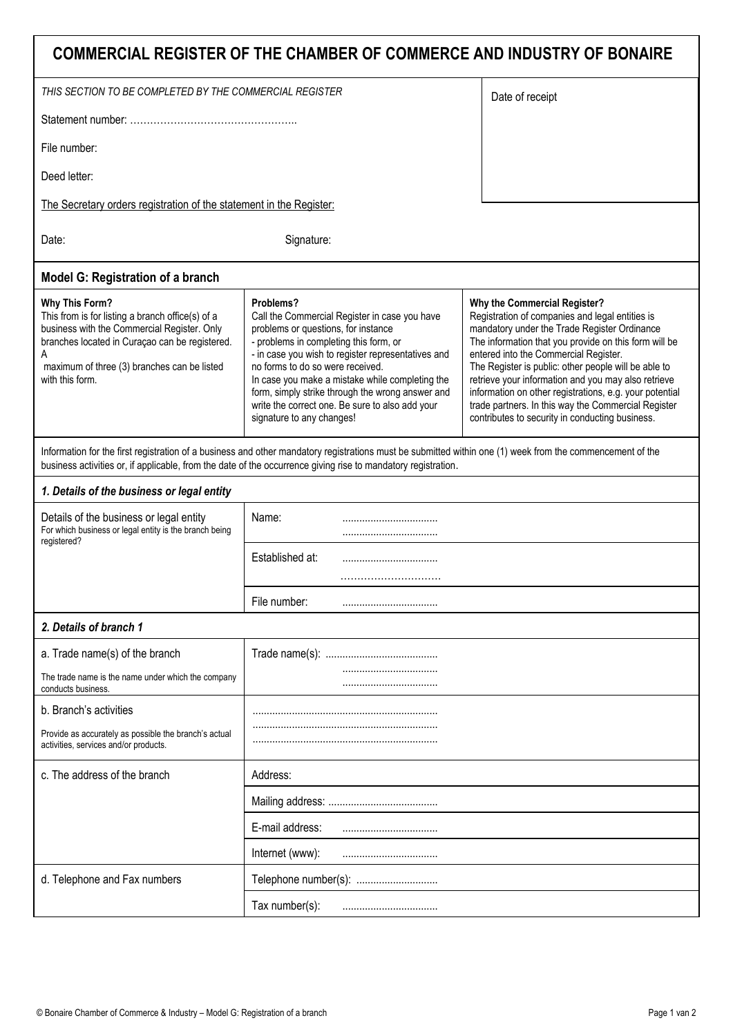| COMMERCIAL REGISTER OF THE CHAMBER OF COMMERCE AND INDUSTRY OF BONAIRE                                                                                                                                                                            |                                                                                                                                                                                                                                                                                                                                                                                                                              |                                                                                                                                                                                                                                                                                                                                                                                                                                                                                                                       |
|---------------------------------------------------------------------------------------------------------------------------------------------------------------------------------------------------------------------------------------------------|------------------------------------------------------------------------------------------------------------------------------------------------------------------------------------------------------------------------------------------------------------------------------------------------------------------------------------------------------------------------------------------------------------------------------|-----------------------------------------------------------------------------------------------------------------------------------------------------------------------------------------------------------------------------------------------------------------------------------------------------------------------------------------------------------------------------------------------------------------------------------------------------------------------------------------------------------------------|
| THIS SECTION TO BE COMPLETED BY THE COMMERCIAL REGISTER                                                                                                                                                                                           |                                                                                                                                                                                                                                                                                                                                                                                                                              | Date of receipt                                                                                                                                                                                                                                                                                                                                                                                                                                                                                                       |
|                                                                                                                                                                                                                                                   |                                                                                                                                                                                                                                                                                                                                                                                                                              |                                                                                                                                                                                                                                                                                                                                                                                                                                                                                                                       |
| File number:                                                                                                                                                                                                                                      |                                                                                                                                                                                                                                                                                                                                                                                                                              |                                                                                                                                                                                                                                                                                                                                                                                                                                                                                                                       |
| Deed letter:                                                                                                                                                                                                                                      |                                                                                                                                                                                                                                                                                                                                                                                                                              |                                                                                                                                                                                                                                                                                                                                                                                                                                                                                                                       |
| The Secretary orders registration of the statement in the Register:                                                                                                                                                                               |                                                                                                                                                                                                                                                                                                                                                                                                                              |                                                                                                                                                                                                                                                                                                                                                                                                                                                                                                                       |
| Date:                                                                                                                                                                                                                                             | Signature:                                                                                                                                                                                                                                                                                                                                                                                                                   |                                                                                                                                                                                                                                                                                                                                                                                                                                                                                                                       |
| <b>Model G: Registration of a branch</b>                                                                                                                                                                                                          |                                                                                                                                                                                                                                                                                                                                                                                                                              |                                                                                                                                                                                                                                                                                                                                                                                                                                                                                                                       |
| <b>Why This Form?</b><br>This from is for listing a branch office(s) of a<br>business with the Commercial Register. Only<br>branches located in Curaçao can be registered.<br>A<br>maximum of three (3) branches can be listed<br>with this form. | Problems?<br>Call the Commercial Register in case you have<br>problems or questions, for instance<br>- problems in completing this form, or<br>- in case you wish to register representatives and<br>no forms to do so were received.<br>In case you make a mistake while completing the<br>form, simply strike through the wrong answer and<br>write the correct one. Be sure to also add your<br>signature to any changes! | Why the Commercial Register?<br>Registration of companies and legal entities is<br>mandatory under the Trade Register Ordinance<br>The information that you provide on this form will be<br>entered into the Commercial Register.<br>The Register is public: other people will be able to<br>retrieve your information and you may also retrieve<br>information on other registrations, e.g. your potential<br>trade partners. In this way the Commercial Register<br>contributes to security in conducting business. |
|                                                                                                                                                                                                                                                   | Information for the first registration of a business and other mandatory registrations must be submitted within one (1) week from the commencement of the<br>business activities or, if applicable, from the date of the occurrence giving rise to mandatory registration.                                                                                                                                                   |                                                                                                                                                                                                                                                                                                                                                                                                                                                                                                                       |
| 1. Details of the business or legal entity                                                                                                                                                                                                        |                                                                                                                                                                                                                                                                                                                                                                                                                              |                                                                                                                                                                                                                                                                                                                                                                                                                                                                                                                       |
| Details of the business or legal entity<br>For which business or legal entity is the branch being<br>registered?                                                                                                                                  | Name:                                                                                                                                                                                                                                                                                                                                                                                                                        |                                                                                                                                                                                                                                                                                                                                                                                                                                                                                                                       |
|                                                                                                                                                                                                                                                   | Established at:                                                                                                                                                                                                                                                                                                                                                                                                              |                                                                                                                                                                                                                                                                                                                                                                                                                                                                                                                       |
|                                                                                                                                                                                                                                                   | File number:<br>                                                                                                                                                                                                                                                                                                                                                                                                             |                                                                                                                                                                                                                                                                                                                                                                                                                                                                                                                       |
| 2. Details of branch 1                                                                                                                                                                                                                            |                                                                                                                                                                                                                                                                                                                                                                                                                              |                                                                                                                                                                                                                                                                                                                                                                                                                                                                                                                       |
| a. Trade name(s) of the branch                                                                                                                                                                                                                    |                                                                                                                                                                                                                                                                                                                                                                                                                              |                                                                                                                                                                                                                                                                                                                                                                                                                                                                                                                       |
| The trade name is the name under which the company<br>conducts business.                                                                                                                                                                          |                                                                                                                                                                                                                                                                                                                                                                                                                              |                                                                                                                                                                                                                                                                                                                                                                                                                                                                                                                       |
| b. Branch's activities                                                                                                                                                                                                                            |                                                                                                                                                                                                                                                                                                                                                                                                                              |                                                                                                                                                                                                                                                                                                                                                                                                                                                                                                                       |
| Provide as accurately as possible the branch's actual<br>activities, services and/or products.                                                                                                                                                    |                                                                                                                                                                                                                                                                                                                                                                                                                              |                                                                                                                                                                                                                                                                                                                                                                                                                                                                                                                       |
| c. The address of the branch                                                                                                                                                                                                                      | Address:                                                                                                                                                                                                                                                                                                                                                                                                                     |                                                                                                                                                                                                                                                                                                                                                                                                                                                                                                                       |
|                                                                                                                                                                                                                                                   |                                                                                                                                                                                                                                                                                                                                                                                                                              |                                                                                                                                                                                                                                                                                                                                                                                                                                                                                                                       |
|                                                                                                                                                                                                                                                   | E-mail address:                                                                                                                                                                                                                                                                                                                                                                                                              |                                                                                                                                                                                                                                                                                                                                                                                                                                                                                                                       |
|                                                                                                                                                                                                                                                   | Internet (www):                                                                                                                                                                                                                                                                                                                                                                                                              |                                                                                                                                                                                                                                                                                                                                                                                                                                                                                                                       |
| d. Telephone and Fax numbers                                                                                                                                                                                                                      |                                                                                                                                                                                                                                                                                                                                                                                                                              |                                                                                                                                                                                                                                                                                                                                                                                                                                                                                                                       |
|                                                                                                                                                                                                                                                   | Tax number(s):                                                                                                                                                                                                                                                                                                                                                                                                               |                                                                                                                                                                                                                                                                                                                                                                                                                                                                                                                       |